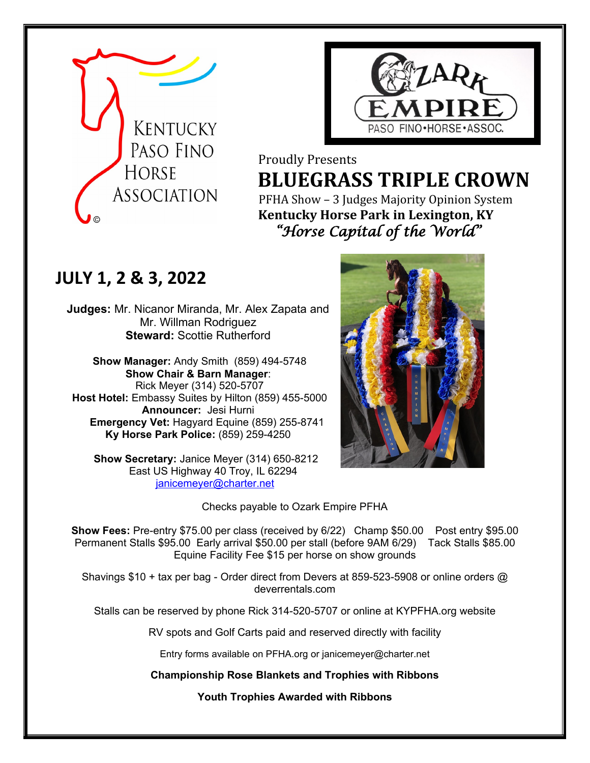



## Proudly Presents **ELUEGRASS TRIPLE CROWN**<br>ASSOCIATION PEHA Show – 3 Judges Majority Opinion System PFHA Show – 3 Judges Majority Opinion System

# **Kentucky Horse Park in Lexington, KY**  *"Horse Capital of the World"*

## **JULY 1, 2 & 3, 2022**

**Judges:** Mr. Nicanor Miranda, Mr. Alex Zapata and Mr. Willman Rodriguez **Steward: Scottie Rutherford** 

**Show Manager:** Andy Smith (859) 494-5748 **Show Chair & Barn Manager**: Rick Meyer (314) 520-5707 **Host Hotel:** Embassy Suites by Hilton (859) 455-5000 **Announcer:** Jesi Hurni **Emergency Vet:** Hagyard Equine (859) 255-8741 **Ky Horse Park Police:** (859) 259-4250

 **Show Secretary:** Janice Meyer (314) 650-8212 East US Highway 40 Troy, IL 62294 [janicemeyer@charter.net](mailto:janicemeyer@charter.net)



Checks payable to Ozark Empire PFHA

**Show Fees:** Pre-entry \$75.00 per class (received by 6/22) Champ \$50.00 Post entry \$95.00 Permanent Stalls \$95.00 Early arrival \$50.00 per stall (before 9AM 6/29) Tack Stalls \$85.00 Equine Facility Fee \$15 per horse on show grounds

Shavings \$10 + tax per bag - Order direct from Devers at 859-523-5908 or online orders @ deverrentals.com

Stalls can be reserved by phone Rick 314-520-5707 or online at KYPFHA.org website

RV spots and Golf Carts paid and reserved directly with facility

Entry forms available on PFHA.org or janicemeyer@charter.net

**Championship Rose Blankets and Trophies with Ribbons** 

**Youth Trophies Awarded with Ribbons**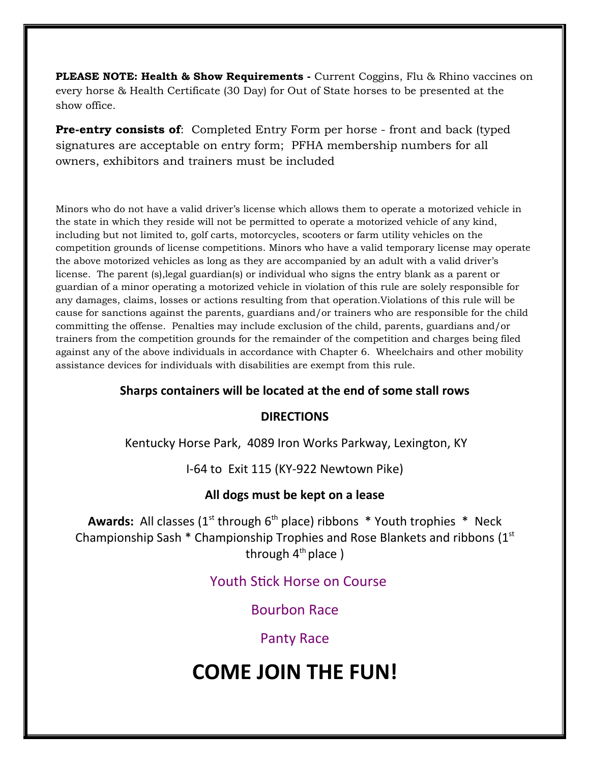**PLEASE NOTE: Health & Show Requirements -** Current Coggins, Flu & Rhino vaccines on every horse & Health Certificate (30 Day) for Out of State horses to be presented at the show office.

**Pre-entry consists of**: Completed Entry Form per horse - front and back (typed signatures are acceptable on entry form; PFHA membership numbers for all owners, exhibitors and trainers must be included

Minors who do not have a valid driver's license which allows them to operate a motorized vehicle in the state in which they reside will not be permitted to operate a motorized vehicle of any kind, including but not limited to, golf carts, motorcycles, scooters or farm utility vehicles on the competition grounds of license competitions. Minors who have a valid temporary license may operate the above motorized vehicles as long as they are accompanied by an adult with a valid driver's license. The parent (s),legal guardian(s) or individual who signs the entry blank as a parent or guardian of a minor operating a motorized vehicle in violation of this rule are solely responsible for any damages, claims, losses or actions resulting from that operation.Violations of this rule will be cause for sanctions against the parents, guardians and/or trainers who are responsible for the child committing the offense. Penalties may include exclusion of the child, parents, guardians and/or trainers from the competition grounds for the remainder of the competition and charges being filed against any of the above individuals in accordance with Chapter 6. Wheelchairs and other mobility assistance devices for individuals with disabilities are exempt from this rule.

### **Sharps containers will be located at the end of some stall rows**

### **DIRECTIONS**

Kentucky Horse Park, 4089 Iron Works Parkway, Lexington, KY

I-64 to Exit 115 (KY-922 Newtown Pike)

### **All dogs must be kept on a lease**

**Awards:** All classes  $(1<sup>st</sup>$  through  $6<sup>th</sup>$  place) ribbons  $*$  Youth trophies  $*$  Neck Championship Sash \* Championship Trophies and Rose Blankets and ribbons (1st through  $4<sup>th</sup>$  place)

## Youth Stick Horse on Course

Bourbon Race

## Panty Race

# **COME JOIN THE FUN!**